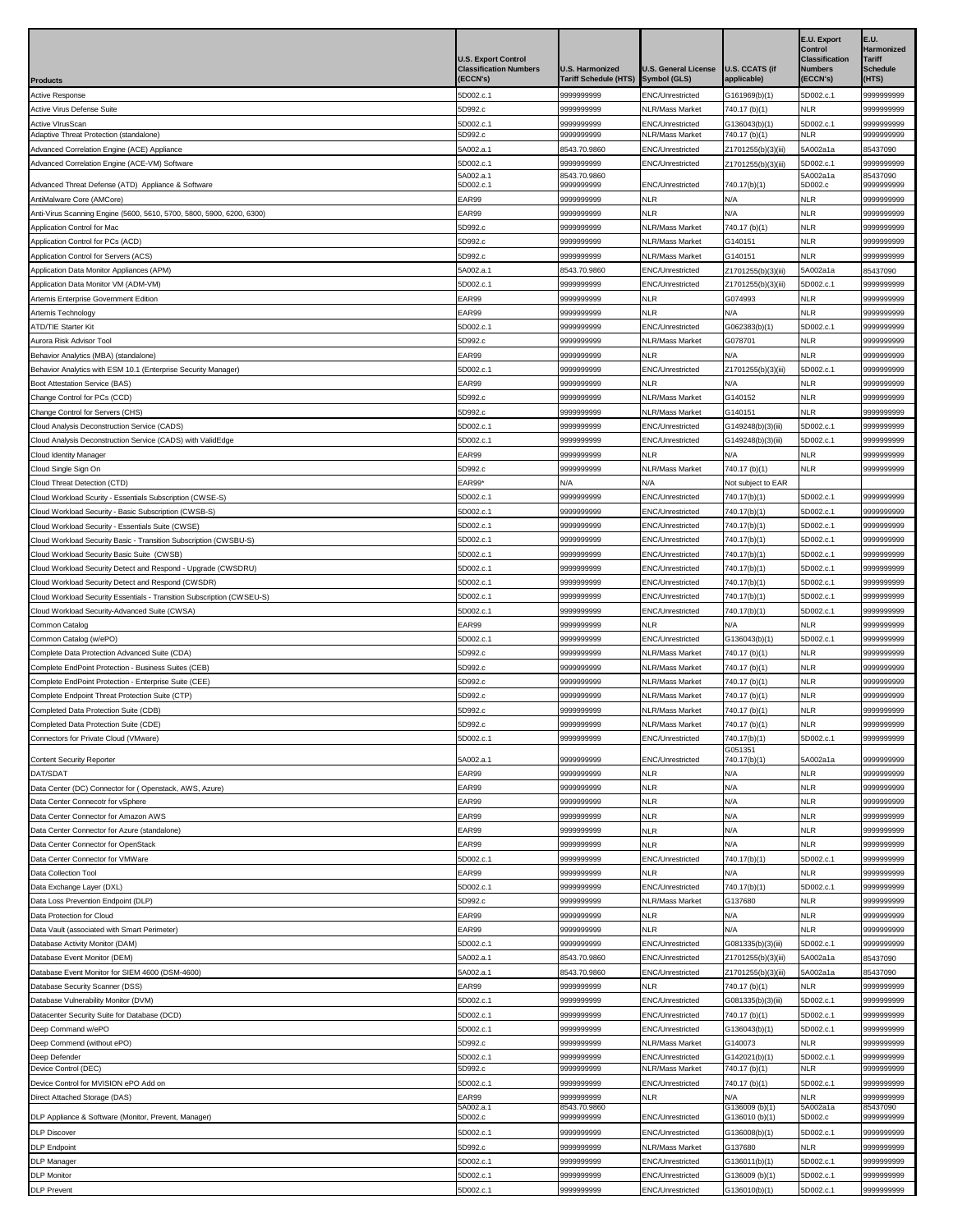| <b>Products</b>                                                                                                     | <b>U.S. Export Control</b><br><b>Classification Numbers</b><br><b>ECCN's)</b> | U.S. Harmonized<br><b>Tariff Schedule (HTS)</b> | <b>U.S. General License</b><br>Symbol (GLS) | <b>U.S. CCATS (if</b><br>applicable)       | E.U. Export<br>Control<br><b>Classification</b><br><b>Numbers</b><br><b>ECCN's)</b> | E.U.<br><b>Harmonized</b><br><b>Tariff</b><br><b>Schedule</b><br>(HTS) |
|---------------------------------------------------------------------------------------------------------------------|-------------------------------------------------------------------------------|-------------------------------------------------|---------------------------------------------|--------------------------------------------|-------------------------------------------------------------------------------------|------------------------------------------------------------------------|
| Active Response                                                                                                     | 5D002.c.1                                                                     | 9999999999                                      | ENC/Unrestricted                            | G161969(b)(1)                              | 5D002.c.1                                                                           | 9999999999                                                             |
| <b>Active Virus Defense Suite</b>                                                                                   | 5D992.c                                                                       | 9999999999                                      | NLR/Mass Market                             | 740.17 (b)(1)                              | <b>NLR</b>                                                                          | 9999999999                                                             |
| <b>Active VIrusScan</b>                                                                                             | 5D002.c.1                                                                     | 9999999999                                      | ENC/Unrestricted                            | G136043(b)(1)                              | 5D002.c.1                                                                           | 9999999999                                                             |
| Adaptive Threat Protection (standalone)                                                                             | 5D992.c                                                                       | 999999999                                       | <b>NLR/Mass Market</b>                      | 740.17 (b)(1)                              | NLR                                                                                 | 9999999999                                                             |
| Advanced Correlation Engine (ACE) Appliance<br>Advanced Correlation Engine (ACE-VM) Software                        | 5A002.a.1<br>5D002.c.1                                                        | 8543.70.9860<br>9999999999                      | ENC/Unrestricted<br>ENC/Unrestricted        | Z1701255(b)(3)(iii)<br>Z1701255(b)(3)(iii) | 5A002a1a<br>5D002.c.1                                                               | 85437090<br>999999999                                                  |
|                                                                                                                     | 5A002.a.1                                                                     | 8543.70.9860                                    |                                             |                                            | 5A002a1a                                                                            | 85437090                                                               |
| Advanced Threat Defense (ATD) Appliance & Software                                                                  | 5D002.c.1                                                                     | 9999999999                                      | <b>ENC/Unrestricted</b>                     | 740.17(b)(1)                               | 5D002.c                                                                             | 9999999999                                                             |
| AntiMalware Core (AMCore)<br>Anti-Virus Scanning Engine (5600, 5610, 5700, 5800, 5900, 6200, 6300)                  | EAR99<br>EAR99                                                                | 9999999999<br>9999999999                        | <b>NLR</b><br><b>NLR</b>                    | N/A<br>N/A                                 | <b>NLR</b><br><b>NLR</b>                                                            | 9999999999<br>9999999999                                               |
| Application Control for Mac                                                                                         | 5D992.c                                                                       | 9999999999                                      | <b>NLR/Mass Market</b>                      | 740.17 (b)(1)                              | <b>NLR</b>                                                                          | 9999999999                                                             |
| Application Control for PCs (ACD)                                                                                   | 5D992.c                                                                       | 9999999999                                      | <b>VLR/Mass Market</b>                      | G140151                                    | NLR                                                                                 | 999999999                                                              |
| Application Control for Servers (ACS)                                                                               | 5D992.c                                                                       | 9999999999                                      | NLR/Mass Market                             | G140151                                    | <b>NLR</b>                                                                          | 9999999999                                                             |
| Application Data Monitor Appliances (APM)                                                                           | 5A002.a.1                                                                     | 8543.70.9860                                    | ENC/Unrestricted                            | Z1701255(b)(3)(iii)                        | 5A002a1a                                                                            | 35437090                                                               |
| Application Data Monitor VM (ADM-VM)                                                                                | 5D002.c.1                                                                     | 9999999999                                      | ENC/Unrestricted                            | Z1701255(b)(3)(iii)                        | 5D002.c.1                                                                           | 9999999999                                                             |
| Artemis Enterprise Government Edition                                                                               | EAR99                                                                         | 9999999999                                      | NLR                                         | G074993                                    | <b>NLR</b>                                                                          | 999999999                                                              |
| Artemis Technology<br><b>ATD/TIE Starter Kit</b>                                                                    | EAR99<br>5D002.c.1                                                            | 9999999999<br>9999999999                        | <b>NLR</b><br>ENC/Unrestricted              | N/A<br>G062383(b)(1)                       | <b>NLR</b><br>5D002.c.1                                                             | 9999999999<br>9999999999                                               |
| Aurora Risk Advisor Tool                                                                                            | 5D992.c                                                                       | 9999999999                                      | <b>NLR/Mass Market</b>                      | G078701                                    | <b>NLR</b>                                                                          | 9999999999                                                             |
| Behavior Analytics (MBA) (standalone)                                                                               | EAR99                                                                         | 9999999999                                      | NLR                                         | N/A                                        | <b>NLR</b>                                                                          | 9999999999                                                             |
| Behavior Analytics with ESM 10.1 (Enterprise Security Manager)                                                      | 5D002.c.1                                                                     | 9999999999                                      | <b>ENC/Unrestricted</b>                     | Z1701255(b)(3)(iii)                        | 5D002.c.1                                                                           | 9999999999                                                             |
| Boot Attestation Service (BAS)                                                                                      | EAR99                                                                         | 9999999999                                      | <b>NLR</b>                                  | N/A                                        | <b>NLR</b>                                                                          | 9999999999                                                             |
| Change Control for PCs (CCD)                                                                                        | 5D992.c                                                                       | 9999999999                                      | <b>NLR/Mass Market</b>                      | G140152                                    | <b>NLR</b>                                                                          | 9999999999                                                             |
| Change Control for Servers (CHS)                                                                                    | 5D992.c                                                                       | 9999999999                                      | <b>NLR/Mass Market</b>                      | G140151                                    | <b>NLR</b>                                                                          | 9999999999                                                             |
| Cloud Analysis Deconstruction Service (CADS)                                                                        | 5D002.c.1                                                                     | 9999999999                                      | ENC/Unrestricted                            | G149248(b)(3)(iii)                         | 5D002.c.1                                                                           | 9999999999                                                             |
| Cloud Analysis Deconstruction Service (CADS) with ValidEdge                                                         | 5D002.c.1<br>EAR99                                                            | 9999999999<br>9999999999                        | ENC/Unrestricted<br>NLR                     | G149248(b)(3)(iii)<br>N/A                  | 5D002.c.1<br>NLR                                                                    | 9999999999<br>9999999999                                               |
| Cloud Identity Manager<br>Cloud Single Sign On                                                                      | 5D992.c                                                                       | 9999999999                                      | NLR/Mass Market                             | 740.17 (b)(1)                              | <b>NLR</b>                                                                          | 9999999999                                                             |
| Cloud Threat Detection (CTD)                                                                                        | EAR99*                                                                        | N/A                                             | N/A                                         | Not subject to EAR                         |                                                                                     |                                                                        |
| Cloud Workload Scurity - Essentials Subscription (CWSE-S)                                                           | 5D002.c.1                                                                     | 9999999999                                      | <b>ENC/Unrestricted</b>                     | 740.17(b)(1)                               | 5D002.c.1                                                                           | 9999999999                                                             |
| Cloud Workload Security - Basic Subscription (CWSB-S)                                                               | 5D002.c.1                                                                     | 9999999999                                      | <b>ENC/Unrestricted</b>                     | 740.17(b)(1)                               | 5D002.c.1                                                                           | 9999999999                                                             |
| Cloud Workload Security - Essentials Suite (CWSE)                                                                   | 5D002.c.1                                                                     | 9999999999                                      | ENC/Unrestricted                            | 740.17(b)(1)                               | 5D002.c.1                                                                           | 9999999999                                                             |
| Cloud Workload Security Basic - Transition Subscription (CWSBU-S)                                                   | 5D002.c.1                                                                     | 9999999999                                      | <b>ENC/Unrestricted</b>                     | 740.17(b)(1)                               | 5D002.c.1                                                                           | 9999999999                                                             |
| Cloud Workload Security Basic Suite (CWSB)                                                                          | 5D002.c.1                                                                     | 9999999999                                      | ENC/Unrestricted                            | 740.17(b)(1)                               | 5D002.c.1                                                                           | 9999999999                                                             |
| Cloud Workload Security Detect and Respond - Upgrade (CWSDRU)<br>Cloud Workload Security Detect and Respond (CWSDR) | 5D002.c.1<br>5D002.c.1                                                        | 9999999999<br>9999999999                        | ENC/Unrestricted<br>ENC/Unrestricted        | 740.17(b)(1)<br>740.17(b)(1)               | 5D002.c.1<br>5D002.c.1                                                              | 9999999999<br>9999999999                                               |
| Cloud Workload Security Essentials - Transition Subscription (CWSEU-S)                                              | 5D002.c.1                                                                     | 9999999999                                      | ENC/Unrestricted                            | 740.17(b)(1)                               | 5D002.c.1                                                                           | 999999999                                                              |
| Cloud Workload Security-Advanced Suite (CWSA)                                                                       | 5D002.c.1                                                                     | 9999999999                                      | ENC/Unrestricted                            | 740.17(b)(1)                               | 5D002.c.1                                                                           | 9999999999                                                             |
| Common Catalog                                                                                                      | EAR99                                                                         | 9999999999                                      | NLR                                         | N/A                                        | NLR                                                                                 | 9999999999                                                             |
| Common Catalog (w/ePO)                                                                                              | 5D002.c.1                                                                     | 9999999999                                      | ENC/Unrestricted                            | G136043(b)(1)                              | 5D002.c.1                                                                           | 9999999999                                                             |
| Complete Data Protection Advanced Suite (CDA)                                                                       | 5D992.c                                                                       | 9999999999                                      | NLR/Mass Market                             | 740.17 (b)(1)                              | <b>NLR</b>                                                                          | 999999999                                                              |
| Complete EndPoint Protection - Business Suites (CEB)                                                                | 5D992.c                                                                       | 9999999999                                      | NLR/Mass Market                             | 740.17 (b)(1)                              | <b>NLR</b>                                                                          | 9999999999                                                             |
| Complete EndPoint Protection - Enterprise Suite (CEE)<br>Complete Endpoint Threat Protection Suite (CTP)            | 5D992.c<br>5D992.c                                                            | 9999999999<br>9999999999                        | NLR/Mass Market<br><b>VLR/Mass Market</b>   | 740.17 (b)(1)<br>740.17 (b)(1)             | <b>NLR</b><br><b>NLR</b>                                                            | 9999999999<br>9999999999                                               |
| Completed Data Protection Suite (CDB)                                                                               | 5D992.c                                                                       | 999999999                                       | NLR/Mass Market                             | 740.17 (b)(1)                              | <b>NLR</b>                                                                          | 9999999999                                                             |
| Completed Data Protection Suite (CDE)                                                                               | 5D992.c                                                                       | 2000000000                                      | NLR/Mass Market                             | 740.17 (b)(1)                              | <b>NLR</b>                                                                          | 9999999999                                                             |
| Connectors for Private Cloud (VMware)                                                                               | 5D002.c.1                                                                     | 9999999999                                      | ENC/Unrestricted                            | 740.17(b)(1)                               | 5D002.c.1                                                                           | 9999999999                                                             |
| Content Security Reporter                                                                                           | 5A002.a.1                                                                     | 9999999999                                      | ENC/Unrestricted                            | G051351<br>740.17(b)(1)                    | 5A002a1a                                                                            | 9999999999                                                             |
| DAT/SDAT                                                                                                            | EAR99                                                                         | 9999999999                                      | <b>NLR</b>                                  | N/A                                        | <b>NLR</b>                                                                          | 9999999999                                                             |
| Data Center (DC) Connector for (Openstack, AWS, Azure)                                                              | EAR99                                                                         | 9999999999                                      | <b>NLR</b>                                  | N/A                                        | <b>NLR</b>                                                                          | 9999999999                                                             |
| Data Center Connecotr for vSphere                                                                                   | EAR99                                                                         | 9999999999                                      | NLR                                         | N/A                                        | <b>NLR</b>                                                                          | 999999999                                                              |
| Data Center Connector for Amazon AWS                                                                                | EAR99                                                                         | 9999999999                                      | NLR                                         | N/A                                        | <b>NLR</b>                                                                          | 9999999999                                                             |
| Data Center Connector for Azure (standalone)                                                                        | EAR99                                                                         | 9999999999                                      | NLR                                         | N/A                                        | <b>NLR</b>                                                                          | 9999999999                                                             |
| Data Center Connector for OpenStack                                                                                 | EAR99                                                                         | 9999999999                                      | <b>NLR</b>                                  | N/A                                        | <b>NLR</b>                                                                          | 9999999999                                                             |
| Data Center Connector for VMWare                                                                                    | 5D002.c.1                                                                     | 9999999999                                      | ENC/Unrestricted                            | 740.17(b)(1)                               | 5D002.c.1                                                                           | 9999999999                                                             |
| Data Collection Tool<br>Data Exchange Layer (DXL)                                                                   | EAR99<br>5D002.c.1                                                            | 9999999999<br>9999999999                        | <b>NLR</b><br>ENC/Unrestricted              | N/A<br>740.17(b)(1)                        | <b>NLR</b><br>5D002.c.1                                                             | 9999999999<br>9999999999                                               |
| Data Loss Prevention Endpoint (DLP)                                                                                 | 5D992.c                                                                       | 9999999999                                      | <b>VLR/Mass Market</b>                      | G137680                                    | NLR                                                                                 | 9999999999                                                             |
| Data Protection for Cloud                                                                                           | EAR99                                                                         | 9999999999                                      | <b>NLR</b>                                  | N/A                                        | <b>NLR</b>                                                                          | 9999999999                                                             |
| Data Vault (associated with Smart Perimeter)                                                                        | EAR99                                                                         | 9999999999                                      | <b>NLR</b>                                  | N/A                                        | <b>NLR</b>                                                                          | 9999999999                                                             |
| Database Activity Monitor (DAM)                                                                                     | 5D002.c.1                                                                     | 9999999999                                      | ENC/Unrestricted                            | G081335(b)(3)(iii)                         | 5D002.c.1                                                                           | 9999999999                                                             |
| Database Event Monitor (DEM)                                                                                        |                                                                               |                                                 |                                             |                                            |                                                                                     | 35437090                                                               |
| Database Event Monitor for SIEM 4600 (DSM-4600)                                                                     | 5A002.a.1                                                                     | 8543.70.9860                                    | ENC/Unrestricted                            | Z1701255(b)(3)(iii)                        | 5A002a1a                                                                            |                                                                        |
|                                                                                                                     | 5A002.a.1                                                                     | 8543.70.9860                                    | ENC/Unrestricted                            | Z1701255(b)(3)(iii)                        | 5A002a1a                                                                            | 35437090                                                               |
| Database Security Scanner (DSS)                                                                                     | EAR99                                                                         | 9999999999                                      | <b>NLR</b>                                  | 740.17 (b)(1)                              | NLR                                                                                 | 9999999999                                                             |
| Database Vulnerability Monitor (DVM)                                                                                | 5D002.c.1                                                                     | 9999999999                                      | ENC/Unrestricted                            | G081335(b)(3)(iii)                         | 5D002.c.1                                                                           | 9999999999                                                             |
| Datacenter Security Suite for Database (DCD)                                                                        | 5D002.c.1                                                                     | 9999999999                                      | ENC/Unrestricted                            | 740.17 (b)(1)                              | 5D002.c.1                                                                           | 9999999999                                                             |
| Deep Command w/ePO<br>Deep Commend (without ePO)                                                                    | 5D002.c.1<br>5D992.c                                                          | 9999999999<br>9999999999                        | ENC/Unrestricted<br>NLR/Mass Market         | G136043(b)(1)<br>G140073                   | 5D002.c.1<br><b>NLR</b>                                                             | 9999999999<br>9999999999                                               |
| Deep Defender                                                                                                       | 5D002.c.1                                                                     | 9999999999                                      | ENC/Unrestricted                            | G142021(b)(1)                              | 5D002.c.1                                                                           | 9999999999                                                             |
| Device Control (DEC)                                                                                                | 5D992.c                                                                       | 9999999999                                      | NLR/Mass Market                             | 740.17 (b)(1)                              | NLR                                                                                 | 9999999999                                                             |
| Device Control for MVISION ePO Add on                                                                               | 5D002.c.1                                                                     | 9999999999                                      | ENC/Unrestricted                            | 740.17 (b)(1)                              | 5D002.c.1                                                                           | 9999999999                                                             |
| Direct Attached Storage (DAS)                                                                                       | EAR99<br>5A002.a.1                                                            | 9999999999<br>8543.70.9860                      | <b>NLR</b>                                  | N/A<br>G136009 (b)(1)                      | <b>NLR</b><br>5A002a1a                                                              | 9999999999<br>85437090                                                 |
| DLP Appliance & Software (Monitor, Prevent, Manager)                                                                | 5D002.c                                                                       | 9999999999                                      | ENC/Unrestricted                            | G136010 (b)(1)                             | 5D002.c                                                                             | 9999999999                                                             |
| <b>DLP Discover</b>                                                                                                 | 5D002.c.1                                                                     | 9999999999                                      | ENC/Unrestricted                            | G136008(b)(1)                              | 5D002.c.1                                                                           | 9999999999                                                             |
| <b>DLP Endpoint</b>                                                                                                 | 5D992.c                                                                       | 9999999999                                      | <b>VLR/Mass Market</b>                      | G137680                                    | <b>NLR</b>                                                                          | 9999999999                                                             |
| DLP Manager<br><b>DLP Monitor</b>                                                                                   | 5D002.c.1<br>5D002.c.1                                                        | 9999999999<br>9999999999                        | ENC/Unrestricted<br>ENC/Unrestricted        | G136011(b)(1)<br>G136009 (b)(1)            | 5D002.c.1<br>5D002.c.1                                                              | 9999999999<br>9999999999                                               |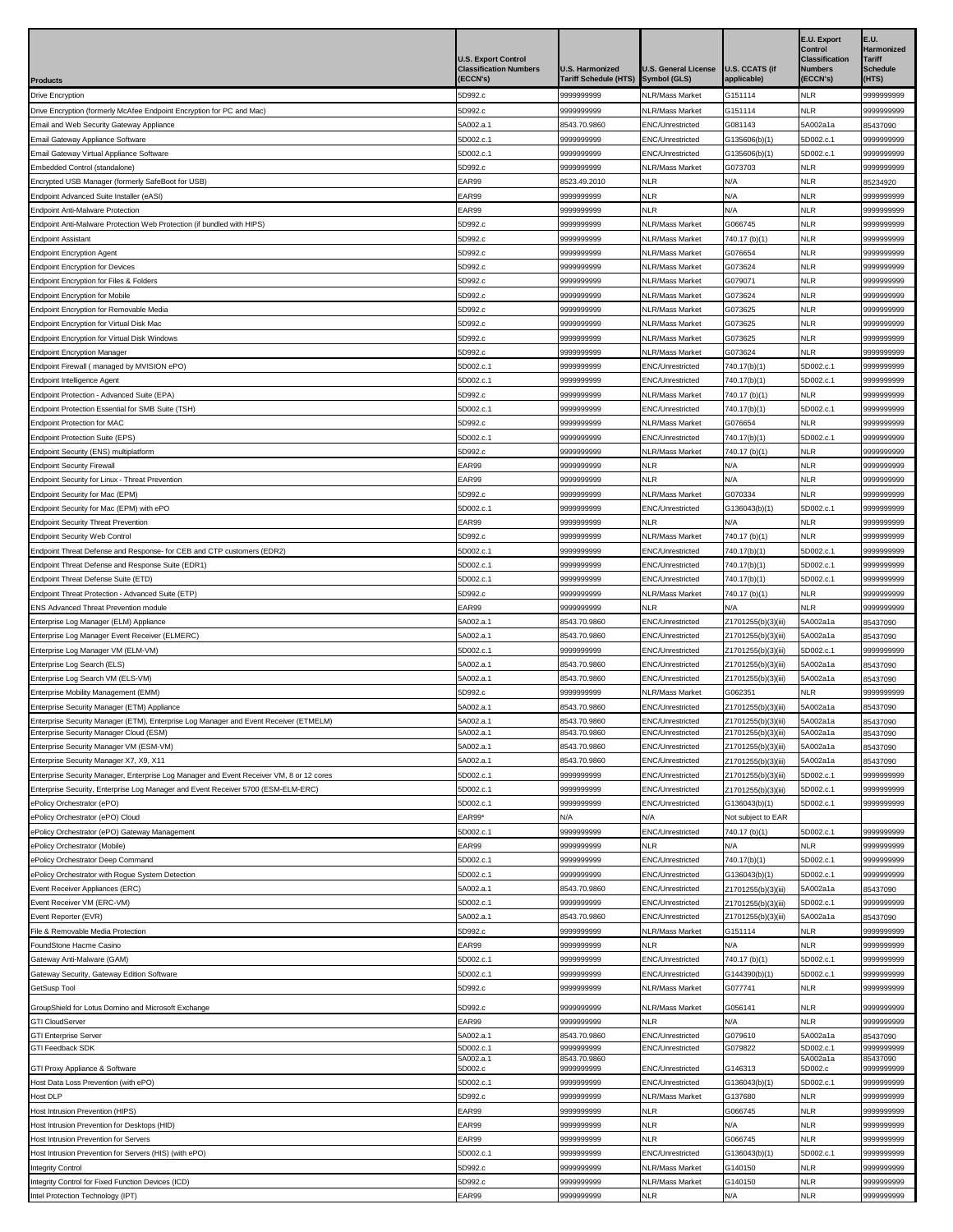|                                                                                                                                     | <b>U.S. Export Control</b><br><b>Classification Numbers</b><br>ECCN's) | <b>U.S. Harmonized</b><br>Tariff Schedule (HTS) | <b>U.S. General License</b><br>Symbol (GLS) | <b>U.S. CCATS (if</b><br>applicable)       | E.U. Export<br>Control<br><b>Classification</b><br><b>Numbers</b><br><b>ECCN's)</b> | E.U.<br>Harmonized<br><b>Tariff</b><br><b>Schedule</b><br>(HTS) |
|-------------------------------------------------------------------------------------------------------------------------------------|------------------------------------------------------------------------|-------------------------------------------------|---------------------------------------------|--------------------------------------------|-------------------------------------------------------------------------------------|-----------------------------------------------------------------|
| Products<br>Drive Encryption                                                                                                        | 5D992.c                                                                | 999999999                                       | NLR/Mass Market                             | G151114                                    | <b>NLR</b>                                                                          | 9999999999                                                      |
| Drive Encryption (formerly McAfee Endpoint Encryption for PC and Mac)                                                               | 5D992.c                                                                | 9999999999                                      | NLR/Mass Market                             | G151114                                    | <b>NLR</b>                                                                          | 9999999999                                                      |
| Email and Web Security Gateway Appliance                                                                                            | 5A002.a.1                                                              | 8543.70.9860                                    | ENC/Unrestricted                            | G081143                                    | 5A002a1a                                                                            | 35437090                                                        |
| Email Gateway Appliance Software                                                                                                    | 5D002.c.1                                                              | 9999999999                                      | ENC/Unrestricted                            | G135606(b)(1)                              | 5D002.c.1                                                                           | 9999999999                                                      |
| Email Gateway Virtual Appliance Software                                                                                            | 5D002.c.1                                                              | 9999999999                                      | ENC/Unrestricted                            | G135606(b)(1)                              | 5D002.c.1                                                                           | 9999999999                                                      |
| Embedded Control (standalone)                                                                                                       | 5D992.c                                                                | 9999999999                                      | <b>NLR/Mass Market</b>                      | G073703                                    | <b>NLR</b>                                                                          | 9999999999                                                      |
| Encrypted USB Manager (formerly SafeBoot for USB)                                                                                   | EAR99                                                                  | 8523.49.2010                                    | NLR                                         | N/A                                        | <b>NLR</b>                                                                          | 35234920                                                        |
| Endpoint Advanced Suite Installer (eASI)<br>Endpoint Anti-Malware Protection                                                        | EAR99<br>EAR99                                                         | 9999999999<br>9999999999                        | NLR<br>NLR                                  | N/A<br>N/A                                 | <b>NLR</b><br><b>NLR</b>                                                            | 9999999999<br>9999999999                                        |
| Endpoint Anti-Malware Protection Web Protection (if bundled with HIPS)                                                              | 5D992.c                                                                | 9999999999                                      | <b>NLR/Mass Market</b>                      | G066745                                    | <b>NLR</b>                                                                          | 999999999                                                       |
| Endpoint Assistant                                                                                                                  | 5D992.c                                                                | 9999999999                                      | NLR/Mass Market                             | 740.17 (b)(1)                              | <b>NLR</b>                                                                          | 9999999999                                                      |
| <b>Endpoint Encryption Agent</b>                                                                                                    | 5D992.c                                                                | 9999999999                                      | NLR/Mass Market                             | G076654                                    | <b>NLR</b>                                                                          | 9999999999                                                      |
| <b>Endpoint Encryption for Devices</b>                                                                                              | 5D992.c                                                                | 999999999                                       | NLR/Mass Market                             | G073624                                    | <b>NLR</b>                                                                          | 9999999999                                                      |
| Endpoint Encryption for Files & Folders<br><b>Endpoint Encryption for Mobile</b>                                                    | 5D992.c<br>5D992.c                                                     | 999999999<br>999999999                          | NLR/Mass Market<br>NLR/Mass Market          | G079071<br>G073624                         | <b>NLR</b><br><b>NLR</b>                                                            | 9999999999<br>9999999999                                        |
| Endpoint Encryption for Removable Media                                                                                             | 5D992.c                                                                | 9999999999                                      | NLR/Mass Market                             | G073625                                    | <b>NLR</b>                                                                          | 9999999999                                                      |
| Endpoint Encryption for Virtual Disk Mac                                                                                            | 5D992.c                                                                | 999999999                                       | <b>NLR/Mass Market</b>                      | G073625                                    | <b>NLR</b>                                                                          | 9999999999                                                      |
| Endpoint Encryption for Virtual Disk Windows                                                                                        | 5D992.c                                                                | 9999999999                                      | <b>NLR/Mass Market</b>                      | G073625                                    | <b>NLR</b>                                                                          | 9999999999                                                      |
| Endpoint Encryption Manager                                                                                                         | 5D992.c                                                                | 9999999999                                      | NLR/Mass Market                             | G073624                                    | <b>NLR</b>                                                                          | 999999999                                                       |
| Endpoint Firewall (managed by MVISION ePO)                                                                                          | 5D002.c.1                                                              | 9999999999                                      | ENC/Unrestricted                            | 740.17(b)(1)                               | 5D002.c.1                                                                           | 9999999999                                                      |
| Endpoint Intelligence Agent<br>Endpoint Protection - Advanced Suite (EPA)                                                           | 5D002.c.1<br>5D992.c                                                   | 9999999999<br>9999999999                        | ENC/Unrestricted                            | 740.17(b)(1)                               | 5D002.c.1<br><b>NLR</b>                                                             | 9999999999<br>9999999999                                        |
| Endpoint Protection Essential for SMB Suite (TSH)                                                                                   | 5D002.c.1                                                              | 9999999999                                      | NLR/Mass Market<br>ENC/Unrestricted         | 740.17 (b)(1)<br>740.17(b)(1)              | 5D002.c.1                                                                           | 999999999                                                       |
| Endpoint Protection for MAC                                                                                                         | 5D992.c                                                                | 9999999999                                      | <b>NLR/Mass Market</b>                      | G076654                                    | <b>NLR</b>                                                                          | 999999999                                                       |
| Endpoint Protection Suite (EPS)                                                                                                     | 5D002.c.1                                                              | 9999999999                                      | ENC/Unrestricted                            | 740.17(b)(1)                               | 5D002.c.1                                                                           | 9999999999                                                      |
| Endpoint Security (ENS) multiplatform                                                                                               | 5D992.c                                                                | 9999999999                                      | <b>VLR/Mass Market</b>                      | 740.17 (b)(1)                              | <b>NLR</b>                                                                          | 9999999999                                                      |
| <b>Endpoint Security Firewall</b>                                                                                                   | EAR99                                                                  | 9999999999                                      | NLR                                         | N/A                                        | <b>NLR</b>                                                                          | 9999999999                                                      |
| <b>Endpoint Security for Linux - Threat Prevention</b>                                                                              | EAR99                                                                  | 9999999999                                      | <b>NLR</b>                                  | N/A                                        | <b>NLR</b><br><b>NLR</b>                                                            | 9999999999                                                      |
| Endpoint Security for Mac (EPM)<br>Endpoint Security for Mac (EPM) with ePO                                                         | 5D992.c<br>5D002.c.1                                                   | 9999999999<br>999999999                         | <b>NLR/Mass Market</b><br>ENC/Unrestricted  | G070334<br>G136043(b)(1)                   | 5D002.c.1                                                                           | 9999999999<br>9999999999                                        |
| <b>Endpoint Security Threat Prevention</b>                                                                                          | EAR99                                                                  | 9999999999                                      | NLR                                         | N/A                                        | <b>NLR</b>                                                                          | 999999999                                                       |
| Endpoint Security Web Control                                                                                                       | 5D992.c                                                                | 9999999999                                      | NLR/Mass Market                             | 740.17 (b)(1)                              | <b>NLR</b>                                                                          | 999999999                                                       |
| Endpoint Threat Defense and Response- for CEB and CTP customers (EDR2)                                                              | 5D002.c.1                                                              | 9999999999                                      | ENC/Unrestricted                            | 740.17(b)(1)                               | 5D002.c.1                                                                           | 999999999                                                       |
| Endpoint Threat Defense and Response Suite (EDR1)                                                                                   | 5D002.c.1                                                              | 9999999999                                      | ENC/Unrestricted                            | 740.17(b)(1)                               | 5D002.c.1                                                                           | 999999999                                                       |
| Endpoint Threat Defense Suite (ETD)                                                                                                 | 5D002.c.1                                                              | 9999999999                                      | ENC/Unrestricted                            | 740.17(b)(1)                               | 5D002.c.1                                                                           | 999999999                                                       |
| Endpoint Threat Protection - Advanced Suite (ETP)<br>ENS Advanced Threat Prevention module                                          | 5D992.c<br>EAR99                                                       | 9999999999<br>999999999                         | <b>NLR/Mass Market</b><br>NLR               | 740.17 (b)(1)<br>N/A                       | <b>NLR</b><br><b>NLR</b>                                                            | 999999999<br>999999999                                          |
| Enterprise Log Manager (ELM) Appliance                                                                                              | 5A002.a.1                                                              | 8543.70.9860                                    | ENC/Unrestricted                            | Z1701255(b)(3)(iii)                        | 5A002a1a                                                                            | 35437090                                                        |
| Enterprise Log Manager Event Receiver (ELMERC)                                                                                      | 5A002.a.1                                                              | 8543.70.9860                                    | ENC/Unrestricted                            | Z1701255(b)(3)(iii)                        | 5A002a1a                                                                            | 35437090                                                        |
| Enterprise Log Manager VM (ELM-VM)                                                                                                  | 5D002.c.1                                                              | 9999999999                                      | ENC/Unrestricted                            | Z1701255(b)(3)(iii)                        | 5D002.c.1                                                                           | 9999999999                                                      |
| Enterprise Log Search (ELS)                                                                                                         | 5A002.a.1                                                              | 8543.70.9860                                    | ENC/Unrestricted                            | Z1701255(b)(3)(iii)                        | 5A002a1a                                                                            | 35437090                                                        |
| Enterprise Log Search VM (ELS-VM)                                                                                                   | 5A002.a.1                                                              | 8543.70.9860                                    | <b>ENC/Unrestricted</b>                     | Z1701255(b)(3)(iii)                        | 5A002a1a                                                                            | 35437090                                                        |
| Enterprise Mobility Management (EMM)<br>Enterprise Security Manager (ETM) Appliance                                                 | 5D992.c<br>5A002.a.1                                                   | 9999999999<br>8543.70.9860                      | NLR/Mass Market<br><b>ENC/Unrestricted</b>  | G062351<br>Z1701255(b)(3)(iii)             | <b>NLR</b><br>5A002a1a                                                              | 999999999<br>35437090                                           |
| Enterprise Security Manager (ETM), Enterprise Log Manager and Event Receiver (ETMELM)                                               | 5A002.a.1                                                              | 8543.70.9860                                    | ENC/Unrestricted                            | Z1701255(b)(3)(iii)                        | 5A002a1a                                                                            | 35437090                                                        |
| Enterprise Security Manager Cloud (ESM)                                                                                             | 5A002.a.1                                                              | 8543.70.9860                                    | ENC/Unrestricted                            | Z1701255(b)(3)(iii)                        | 5A002a1a                                                                            | 85437090                                                        |
| Enterprise Security Manager VM (ESM-VM)                                                                                             | 5A002.a.1                                                              | 8543.70.9860                                    | ENC/Unrestricted                            | Z1701255(b)(3)(iii)                        | 5A002a1a                                                                            | 35437090                                                        |
| Enterprise Security Manager X7, X9, X11<br>Enterprise Security Manager, Enterprise Log Manager and Event Receiver VM, 8 or 12 cores | 5A002.a.1<br>5D002.c.1                                                 | 8543.70.9860<br>9999999999                      | ENC/Unrestricted<br>ENC/Unrestricted        | Z1701255(b)(3)(iii)<br>Z1701255(b)(3)(iii) | 5A002a1a<br>5D002.c.1                                                               | 35437090<br>999999999                                           |
| Enterprise Security, Enterprise Log Manager and Event Receiver 5700 (ESM-ELM-ERC)                                                   | 5D002.c.1                                                              | 999999999                                       | ENC/Unrestricted                            | Z1701255(b)(3)(iii)                        | 5D002.c.1                                                                           | 999999999                                                       |
| ePolicy Orchestrator (ePO)                                                                                                          | 5D002.c.1                                                              | 9999999999                                      | ENC/Unrestricted                            | G136043(b)(1)                              | 5D002.c.1                                                                           | 9999999999                                                      |
| ePolicy Orchestrator (ePO) Cloud                                                                                                    | EAR99*                                                                 | N/A                                             | N/A                                         | Not subject to EAR                         |                                                                                     |                                                                 |
| ePolicy Orchestrator (ePO) Gateway Management                                                                                       | 5D002.c.1                                                              | 999999999                                       | ENC/Unrestricted                            | 740.17 (b)(1)                              | 5D002.c.1                                                                           | 9999999999                                                      |
| ePolicy Orchestrator (Mobile)                                                                                                       | EAR99                                                                  | 999999999                                       | <b>NLR</b>                                  | N/A                                        | <b>NLR</b>                                                                          | 9999999999                                                      |
| ePolicy Orchestrator Deep Command<br>ePolicy Orchestrator with Rogue System Detection                                               | 5D002.c.1<br>5D002.c.1                                                 | 9999999999<br>9999999999                        | ENC/Unrestricted<br>ENC/Unrestricted        | 740.17(b)(1)<br>G136043(b)(1)              | 5D002.c.1<br>5D002.c.1                                                              | 9999999999<br>9999999999                                        |
| Event Receiver Appliances (ERC)                                                                                                     | 5A002.a.1                                                              | 8543.70.9860                                    | ENC/Unrestricted                            | Z1701255(b)(3)(iii)                        | 5A002a1a                                                                            | 35437090                                                        |
| Event Receiver VM (ERC-VM)                                                                                                          | 5D002.c.1                                                              | 9999999999                                      | ENC/Unrestricted                            | Z1701255(b)(3)(iii)                        | 5D002.c.1                                                                           | 9999999999                                                      |
| Event Reporter (EVR)                                                                                                                | 5A002.a.1                                                              | 8543.70.9860                                    | ENC/Unrestricted                            | Z1701255(b)(3)(iii)                        | 5A002a1a                                                                            | 35437090                                                        |
| File & Removable Media Protection                                                                                                   | 5D992.c                                                                | 9999999999                                      | NLR/Mass Market                             | G151114                                    | NLR                                                                                 | 9999999999                                                      |
| FoundStone Hacme Casino                                                                                                             | EAR99                                                                  | 999999999                                       | NLR                                         | N/A                                        | <b>NLR</b>                                                                          | 9999999999                                                      |
| Gateway Anti-Malware (GAM)<br><b>Gateway Security, Gateway Edition Software</b>                                                     | 5D002.c.1<br>5D002.c.1                                                 | 9999999999<br>9999999999                        | ENC/Unrestricted<br>ENC/Unrestricted        | 740.17 (b)(1)<br>G144390(b)(1)             | 5D002.c.1<br>5D002.c.1                                                              | 999999999<br>999999999                                          |
| GetSusp Tool                                                                                                                        | 5D992.c                                                                | 9999999999                                      | <b>NLR/Mass Market</b>                      | G077741                                    | <b>NLR</b>                                                                          | 9999999999                                                      |
| GroupShield for Lotus Domino and Microsoft Exchange                                                                                 | 5D992.c                                                                | 9999999999                                      | NLR/Mass Market                             | G056141                                    | <b>NLR</b>                                                                          | 9999999999                                                      |
| <b>GTI CloudServer</b>                                                                                                              | EAR99                                                                  | 9999999999                                      | <b>NLR</b>                                  | N/A                                        | <b>NLR</b>                                                                          | 9999999999                                                      |
| <b>GTI Enterprise Server</b>                                                                                                        | 5A002.a.1                                                              | 8543.70.9860                                    | ENC/Unrestricted                            | G079610                                    | 5A002a1a                                                                            | 35437090                                                        |
| <b>GTI Feedback SDK</b>                                                                                                             | 5D002.c.1                                                              | 9999999999                                      | ENC/Unrestricted                            | G079822                                    | 5D002.c.1                                                                           | 9999999999                                                      |
| <b>3TI Proxy Appliance &amp; Software</b>                                                                                           | 5A002.a.1<br>5D002.c                                                   | 8543.70.9860<br>999999999                       | ENC/Unrestricted                            | G146313                                    | 5A002a1a<br>5D002.c                                                                 | 85437090<br>9999999999                                          |
| Host Data Loss Prevention (with ePO)                                                                                                | 5D002.c.1                                                              | 9999999999                                      | ENC/Unrestricted                            | G136043(b)(1)                              | 5D002.c.1                                                                           | 999999999                                                       |
| lost DLP                                                                                                                            | 5D992.c                                                                | 9999999999                                      | NLR/Mass Market                             | G137680                                    | <b>NLR</b>                                                                          | 9999999999                                                      |
| <b>Host Intrusion Prevention (HIPS)</b>                                                                                             | EAR99                                                                  | 999999999                                       | NLR                                         | G066745                                    | <b>NLR</b>                                                                          | 9999999999                                                      |
| Host Intrusion Prevention for Desktops (HID)<br>Host Intrusion Prevention for Servers                                               | EAR99<br>EAR99                                                         | 9999999999<br>999999999                         | <b>NLR</b><br>NLR                           | N/A<br>G066745                             | <b>NLR</b><br><b>NLR</b>                                                            | 999999999<br>9999999999                                         |
| Host Intrusion Prevention for Servers (HIS) (with ePO)                                                                              | 5D002.c.1                                                              | 9999999999                                      | ENC/Unrestricted                            | G136043(b)(1)                              | 5D002.c.1                                                                           | 9999999999                                                      |
| ntegrity Control                                                                                                                    | 5D992.c                                                                | 999999999                                       | <b>NLR/Mass Market</b>                      | G140150                                    | <b>NLR</b>                                                                          | 9999999999                                                      |
| ntegrity Control for Fixed Function Devices (ICD)                                                                                   | 5D992.c                                                                | 999999999                                       | <b>NLR/Mass Market</b>                      | G140150                                    | <b>NLR</b>                                                                          | 9999999999                                                      |
| ntel Protection Technology (IPT)                                                                                                    | EAR99                                                                  | 999999999                                       | <b>NLR</b>                                  | N/A                                        | <b>NLR</b>                                                                          | 9999999999                                                      |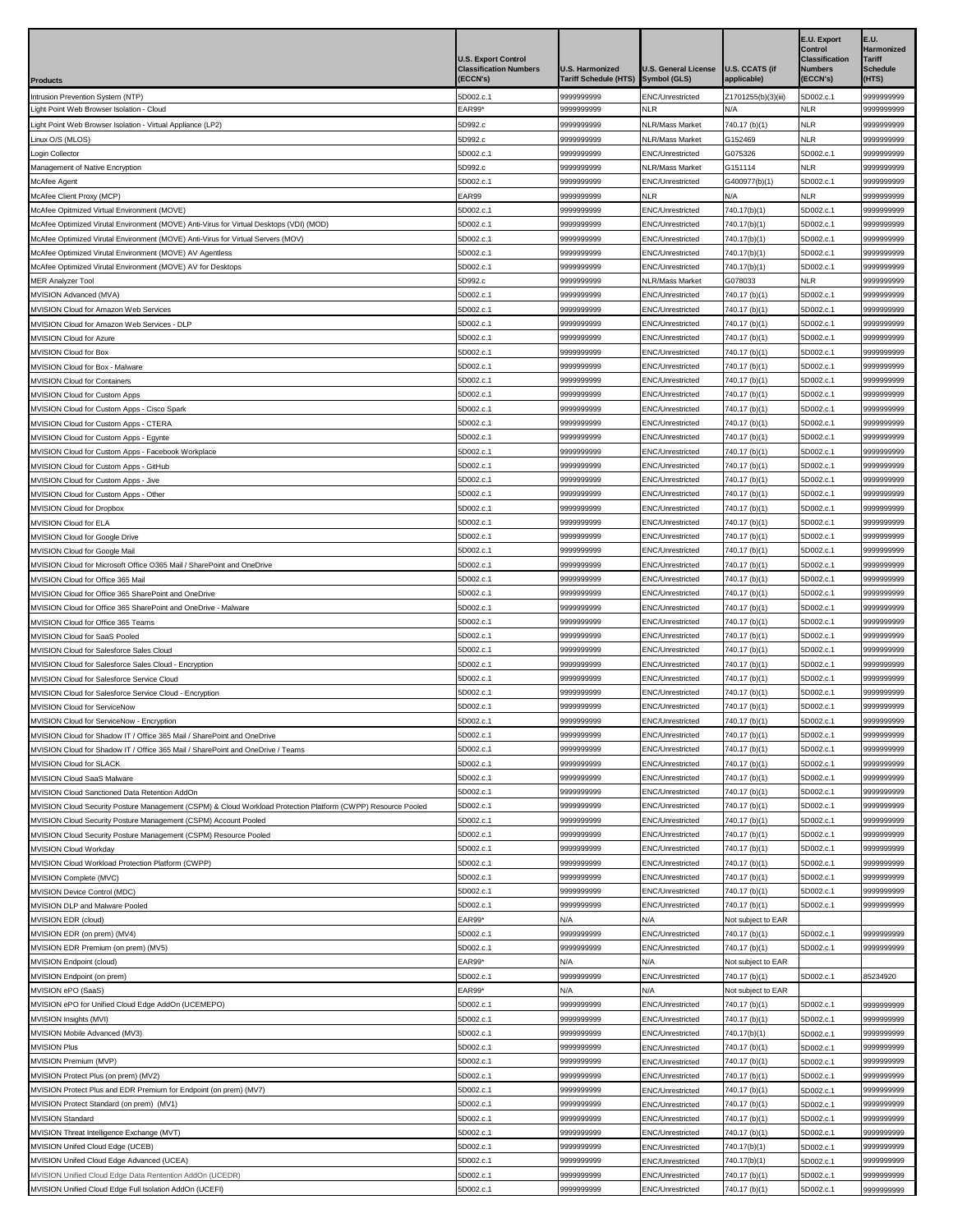|                                                                                                                                                                                 | <b>U.S. Export Control</b><br><b>Classification Numbers</b> | <b>U.S. Harmonized</b>   | <b>U.S. General License</b>                 | <b>U.S. CCATS (if</b>               | E.U. Export<br>Control<br><b>Classification</b><br><b>Numbers</b> | E.U.<br>Harmonized<br>Tariff<br><b>Schedule</b> |
|---------------------------------------------------------------------------------------------------------------------------------------------------------------------------------|-------------------------------------------------------------|--------------------------|---------------------------------------------|-------------------------------------|-------------------------------------------------------------------|-------------------------------------------------|
| Products                                                                                                                                                                        | (ECCN's)                                                    | Tariff Schedule (HTS)    | <b>Symbol (GLS)</b>                         | applicable)                         | (ECCN's)                                                          | (HTS)                                           |
| Intrusion Prevention System (NTP)<br>ight Point Web Browser Isolation - Cloud                                                                                                   | 5D002.c.1<br>EAR99                                          | 9999999999<br>9999999999 | ENC/Unrestricted<br><b>NLR</b>              | Z1701255(b)(3)(iii)<br>N/A          | 5D002.c.1<br><b>NLR</b>                                           | 9999999999<br>999999999                         |
| Light Point Web Browser Isolation - Virtual Appliance (LP2)                                                                                                                     | 5D992.c                                                     | 9999999999               | NLR/Mass Market                             | 740.17 (b)(1)                       | NLR                                                               | 9999999999                                      |
| Linux O/S (MLOS)                                                                                                                                                                | 5D992.c                                                     | 9999999999               | <b>NLR/Mass Market</b>                      | G152469                             | NLR                                                               | 9999999999                                      |
| ogin Collector                                                                                                                                                                  | 5D002.c.1                                                   | 9999999999               | ENC/Unrestricted                            | G075326                             | 5D002.c.1                                                         | 9999999999                                      |
| Management of Native Encryption<br>McAfee Agent                                                                                                                                 | 5D992.c<br>5D002.c.1                                        | 9999999999<br>9999999999 | <b>NLR/Mass Market</b><br>ENC/Unrestricted  | G151114<br>G400977(b)(1)            | NLR<br>5D002.c.1                                                  | 9999999999<br>9999999999                        |
| McAfee Client Proxy (MCP)                                                                                                                                                       | EAR99                                                       | 9999999999               | <b>NLR</b>                                  | N/A                                 | <b>NLR</b>                                                        | 9999999999                                      |
| McAfee Opitmized Virtual Environment (MOVE)                                                                                                                                     | 5D002.c.1                                                   | 9999999999               | ENC/Unrestricted                            | 740.17(b)(1)                        | 5D002.c.1                                                         | 9999999999                                      |
| McAfee Optimized Virutal Environment (MOVE) Anti-Virus for Virtual Desktops (VDI) (MOD)                                                                                         | 5D002.c.1                                                   | 9999999999               | ENC/Unrestricted                            | 740.17(b)(1)                        | 5D002.c.1                                                         | 9999999999                                      |
| McAfee Optimized Virutal Environment (MOVE) Anti-Virus for Virtual Servers (MOV)<br>McAfee Optimized Virutal Environment (MOVE) AV Agentless                                    | 5D002.c.1<br>5D002.c.1                                      | 9999999999<br>9999999999 | <b>ENC/Unrestricted</b><br>ENC/Unrestricted | 740.17(b)(1)<br>740.17(b)(1)        | 5D002.c.1<br>5D002.c.1                                            | 9999999999<br>9999999999                        |
| McAfee Optimized Virutal Environment (MOVE) AV for Desktops                                                                                                                     | 5D002.c.1                                                   | 9999999999               | ENC/Unrestricted                            | 740.17(b)(1)                        | 5D002.c.1                                                         | 9999999999                                      |
| <b>MER Analyzer Tool</b>                                                                                                                                                        | 5D992.c                                                     | 9999999999               | <b>NLR/Mass Market</b>                      | G078033                             | NLR                                                               | 9999999999                                      |
| MVISION Advanced (MVA)                                                                                                                                                          | 5D002.c.1                                                   | 9999999999               | ENC/Unrestricted                            | 740.17 (b)(1)                       | 5D002.c.1                                                         | 9999999999                                      |
| MVISION Cloud for Amazon Web Services<br><b>MVISION Cloud for Amazon Web Services - DLP</b>                                                                                     | 5D002.c.1<br>5D002.c.1                                      | 9999999999<br>9999999999 | ENC/Unrestricted<br>ENC/Unrestricted        | 740.17 (b)(1)<br>740.17 (b)(1)      | 5D002.c.1<br>5D002.c.1                                            | 9999999999<br>999999999                         |
| <b>MVISION Cloud for Azure</b>                                                                                                                                                  | 5D002.c.1                                                   | 9999999999               | ENC/Unrestricted                            | 740.17 (b)(1)                       | 5D002.c.1                                                         | 9999999999                                      |
| <b>MVISION Cloud for Box</b>                                                                                                                                                    | 5D002.c.1                                                   | 9999999999               | ENC/Unrestricted                            | 740.17 (b)(1)                       | 5D002.c.1                                                         | 9999999999                                      |
| MVISION Cloud for Box - Malware                                                                                                                                                 | 5D002.c.1                                                   | 9999999999               | ENC/Unrestricted                            | 740.17 (b)(1)                       | 5D002.c.1                                                         | 9999999999                                      |
| <b>MVISION Cloud for Containers</b>                                                                                                                                             | 5D002.c.1                                                   | 9999999999               | ENC/Unrestricted                            | 740.17 (b)(1)                       | 5D002.c.1                                                         | 9999999999                                      |
| MVISION Cloud for Custom Apps<br>MVISION Cloud for Custom Apps - Cisco Spark                                                                                                    | 5D002.c.1<br>5D002.c.1                                      | 9999999999<br>9999999999 | ENC/Unrestricted<br><b>ENC/Unrestricted</b> | 740.17 (b)(1)<br>740.17 (b)(1)      | 5D002.c.1<br>5D002.c.1                                            | 9999999999<br>9999999999                        |
| MVISION Cloud for Custom Apps - CTERA                                                                                                                                           | 5D002.c.1                                                   | 9999999999               | ENC/Unrestricted                            | 740.17 (b)(1)                       | 5D002.c.1                                                         | 9999999999                                      |
| MVISION Cloud for Custom Apps - Egynte                                                                                                                                          | 5D002.c.1                                                   | 9999999999               | <b>ENC/Unrestricted</b>                     | 740.17 (b)(1)                       | 5D002.c.1                                                         | 9999999999                                      |
| MVISION Cloud for Custom Apps - Facebook Workplace                                                                                                                              | 5D002.c.1                                                   | 9999999999               | ENC/Unrestricted                            | 740.17 (b)(1)                       | 5D002.c.1                                                         | 9999999999                                      |
| MVISION Cloud for Custom Apps - GitHub                                                                                                                                          | 5D002.c.1                                                   | 9999999999               | ENC/Unrestricted                            | 740.17 (b)(1)                       | 5D002.c. <sup>.</sup>                                             | 9999999999                                      |
| <b>MVISION Cloud for Custom Apps - Jive</b><br>MVISION Cloud for Custom Apps - Other                                                                                            | 5D002.c.1<br>5D002.c.1                                      | 9999999999<br>9999999999 | ENC/Unrestricted<br>ENC/Unrestricted        | 740.17 (b)(1)<br>740.17 (b)(1)      | 5D002.c.1<br>5D002.c.1                                            | 9999999999<br>9999999999                        |
| <b>MVISION Cloud for Dropbox</b>                                                                                                                                                | 5D002.c.1                                                   | 9999999999               | ENC/Unrestricted                            | 740.17 (b)(1)                       | 5D002.c.1                                                         | 9999999999                                      |
| MVISION Cloud for ELA                                                                                                                                                           | 5D002.c.1                                                   | 9999999999               | ENC/Unrestricted                            | 740.17 (b)(1)                       | 5D002.c.1                                                         | 9999999999                                      |
| <b>MVISION Cloud for Google Drive</b>                                                                                                                                           | 5D002.c.1                                                   | 9999999999               | ENC/Unrestricted                            | 740.17 (b)(1)                       | 5D002.c.1                                                         | 9999999999                                      |
| MVISION Cloud for Google Mail                                                                                                                                                   | 5D002.c.1<br>5D002.c.1                                      | 9999999999<br>9999999999 | ENC/Unrestricted<br>ENC/Unrestricted        | 740.17 (b)(1)                       | 5D002.c.1<br>5D002.c.1                                            | 9999999999<br>9999999999                        |
| MVISION Cloud for Microsoft Office O365 Mail / SharePoint and OneDrive<br>MVISION Cloud for Office 365 Mail                                                                     | 5D002.c.1                                                   | 9999999999               | ENC/Unrestricted                            | 740.17 (b)(1)<br>740.17 (b)(1)      | 5D002.c.1                                                         | 9999999999                                      |
| MVISION Cloud for Office 365 SharePoint and OneDrive                                                                                                                            | 5D002.c.1                                                   | 9999999999               | ENC/Unrestricted                            | 740.17 (b)(1)                       | 5D002.c.1                                                         | 9999999999                                      |
| MVISION Cloud for Office 365 SharePoint and OneDrive - Malware                                                                                                                  | 5D002.c.1                                                   | 9999999999               | ENC/Unrestricted                            | 740.17 (b)(1)                       | 5D002.c.1                                                         | 9999999999                                      |
| MVISION Cloud for Office 365 Teams                                                                                                                                              | 5D002.c.1                                                   | 9999999999               | ENC/Unrestricted                            | 740.17 (b)(1)                       | 5D002.c.1                                                         | 9999999999                                      |
| MVISION Cloud for SaaS Pooled<br><b>MVISION Cloud for Salesforce Sales Cloud</b>                                                                                                | 5D002.c.1<br>5D002.c.1                                      | 9999999999<br>9999999999 | ENC/Unrestricted<br>ENC/Unrestricted        | 740.17 (b)(1)<br>740.17 (b)(1)      | 5D002.c.1<br>5D002.c.1                                            | 9999999999<br>9999999999                        |
| MVISION Cloud for Salesforce Sales Cloud - Encryption                                                                                                                           | 5D002.c.1                                                   | 9999999999               | ENC/Unrestricted                            | 740.17 (b)(1)                       | 5D002.c.1                                                         | 9999999999                                      |
| <b>MVISION Cloud for Salesforce Service Cloud</b>                                                                                                                               | 5D002.c.1                                                   | 9999999999               | ENC/Unrestricted                            | 740.17 (b)(1)                       | 5D002.c.1                                                         | 9999999999                                      |
| <b>MVISION Cloud for Salesforce Service Cloud - Encryption</b>                                                                                                                  | 5D002.c.1                                                   | 9999999999               | ENC/Unrestricted                            | 740.17 (b)(1)                       | 5D002.c.1                                                         | 9999999999                                      |
| MVISION Cloud for ServiceNow                                                                                                                                                    | 5D002.c.1                                                   | 9999999999<br>9999999999 | ENC/Unrestricted                            | 740.17 (b)(1)                       | 5D002.c.1                                                         | 9999999999                                      |
| MVISION Cloud for ServiceNow - Encryption<br>MVISION Cloud for Shadow IT / Office 365 Mail / SharePoint and OneDrive                                                            | 5D002.c.1<br>5D002.c.1                                      | 9999999999               | ENC/Unrestricted<br>ENC/Unrestricted        | 740.17 (b)(1)<br>740.17 (b)(1)      | 5D002.c.1<br>5D002.c.1                                            | 9999999999<br>9999999999                        |
| MVISION Cloud for Shadow IT / Office 365 Mail / SharePoint and OneDrive / Teams                                                                                                 | 5D002.c.1                                                   | 9999999999               | ENC/Unrestricted                            | 740.17 (b)(1)                       | 5D002.c.1                                                         | 9999999999                                      |
| MVISION Cloud for SLACK                                                                                                                                                         | 5D002.c.1                                                   | 9999999999               | ENC/Unrestricted                            | 740.17 (b)(1)                       | 5D002.c.1                                                         | 9999999999                                      |
| MVISION Cloud SaaS Malware                                                                                                                                                      | 5D002.c.1                                                   | 9999999999               | ENC/Unrestricted                            | 740.17 (b)(1)                       | 5D002.c.1                                                         | 9999999999                                      |
| MVISION Cloud Sanctioned Data Retention AddOn                                                                                                                                   | 5D002.c.1                                                   | 9999999999<br>9999999999 | ENC/Unrestricted                            | 740.17 (b)(1)<br>740.17 (b)(1)      | 5D002.c.1                                                         | 9999999999<br>9999999999                        |
| MVISION Cloud Security Posture Management (CSPM) & Cloud Workload Protection Platform (CWPP) Resource Pooled<br>MVISION Cloud Security Posture Management (CSPM) Account Pooled | 5D002.c.1<br>5D002.c.1                                      | 9999999999               | ENC/Unrestricted<br>ENC/Unrestricted        | 740.17 (b)(1)                       | 5D002.c.1<br>5D002.c.1                                            | 9999999999                                      |
| <b>MVISION Cloud Security Posture Management (CSPM) Resource Pooled</b>                                                                                                         | 5D002.c.1                                                   | 9999999999               | ENC/Unrestricted                            | 740.17 (b)(1)                       | 5D002.c.1                                                         | 9999999999                                      |
| MVISION Cloud Workday                                                                                                                                                           | 5D002.c.1                                                   | 9999999999               | ENC/Unrestricted                            | 740.17 (b)(1)                       | 5D002.c.1                                                         | 9999999999                                      |
| MVISION Cloud Workload Protection Platform (CWPP)                                                                                                                               | 5D002.c.1                                                   | 9999999999               | ENC/Unrestricted                            | 740.17 (b)(1)                       | 5D002.c.1                                                         | 9999999999                                      |
| MVISION Complete (MVC)                                                                                                                                                          | 5D002.c.1<br>5D002.c.1                                      | 9999999999<br>9999999999 | ENC/Unrestricted<br>ENC/Unrestricted        | 740.17 (b)(1)<br>740.17 (b)(1)      | 5D002.c.1<br>5D002.c.1                                            | 9999999999<br>9999999999                        |
| MVISION Device Control (MDC)<br>MVISION DLP and Malware Pooled                                                                                                                  | 5D002.c.1                                                   | 9999999999               | ENC/Unrestricted                            | 740.17 (b)(1)                       | 5D002.c.1                                                         | 9999999999                                      |
| MVISION EDR (cloud)                                                                                                                                                             | EAR99*                                                      | N/A                      | N/A                                         | Not subject to EAR                  |                                                                   |                                                 |
| MVISION EDR (on prem) (MV4)                                                                                                                                                     | 5D002.c.1                                                   | 9999999999               | ENC/Unrestricted                            | 740.17 (b)(1)                       | 5D002.c.1                                                         | 9999999999                                      |
| MVISION EDR Premium (on prem) (MV5)                                                                                                                                             | 5D002.c.1                                                   | 9999999999               | ENC/Unrestricted                            | 740.17 (b)(1)                       | 5D002.c.1                                                         | 9999999999                                      |
| MVISION Endpoint (cloud)<br>MVISION Endpoint (on prem)                                                                                                                          | EAR99*<br>5D002.c.1                                         | N/A<br>9999999999        | N/A<br>ENC/Unrestricted                     | Not subject to EAR<br>740.17 (b)(1) | 5D002.c.1                                                         | 85234920                                        |
| MVISION ePO (SaaS)                                                                                                                                                              | EAR99*                                                      | N/A                      | N/A                                         | Not subject to EAR                  |                                                                   |                                                 |
| MVISION ePO for Unified Cloud Edge AddOn (UCEMEPO)                                                                                                                              | 5D002.c.1                                                   | 9999999999               | ENC/Unrestricted                            | 740.17 (b)(1)                       | 5D002.c.1                                                         | 9999999999                                      |
| MVISION Insights (MVI)                                                                                                                                                          | 5D002.c.1                                                   | 9999999999               | ENC/Unrestricted                            | 740.17 (b)(1)                       | 5D002.c.1                                                         | 9999999999                                      |
| <b>MVISION Mobile Advanced (MV3)</b>                                                                                                                                            | 5D002.c.1                                                   | 9999999999               | ENC/Unrestricted                            | 740.17(b)(1)                        | 5D002.c.1                                                         | 9999999999                                      |
| <b>MVISION Plus</b><br><b>MVISION Premium (MVP)</b>                                                                                                                             | 5D002.c.1<br>5D002.c.1                                      | 9999999999<br>9999999999 | ENC/Unrestricted<br>ENC/Unrestricted        | 740.17 (b)(1)<br>740.17 (b)(1)      | 5D002.c.1<br>5D002.c.1                                            | 9999999999<br>9999999999                        |
| MVISION Protect Plus (on prem) (MV2)                                                                                                                                            | 5D002.c.1                                                   | 9999999999               | ENC/Unrestricted                            | 740.17 (b)(1)                       | 5D002.c.1                                                         | 9999999999                                      |
| <b>WVISION Protect Plus and EDR Premium for Endpoint (on prem) (MV7)</b>                                                                                                        | 5D002.c.1                                                   | 9999999999               | ENC/Unrestricted                            | 740.17 (b)(1)                       | 5D002.c.1                                                         | 9999999999                                      |
| MVISION Protect Standard (on prem) (MV1)                                                                                                                                        | 5D002.c.1                                                   | 9999999999               | ENC/Unrestricted                            | 740.17 (b)(1)                       | 5D002.c.1                                                         | 9999999999                                      |
| <b>MVISION Standard</b><br>MVISION Threat Intelligence Exchange (MVT)                                                                                                           | 5D002.c.1<br>5D002.c.1                                      | 9999999999<br>9999999999 | ENC/Unrestricted                            | 740.17 (b)(1)<br>740.17 (b)(1)      | 5D002.c.1                                                         | 9999999999<br>9999999999                        |
| MVISION Unifed Cloud Edge (UCEB)                                                                                                                                                | 5D002.c.1                                                   | 9999999999               | ENC/Unrestricted<br>ENC/Unrestricted        | 740.17(b)(1)                        | 5D002.c.1<br>5D002.c.1                                            | 9999999999                                      |
| MVISION Unifed Cloud Edge Advanced (UCEA)                                                                                                                                       | 5D002.c.1                                                   | 9999999999               | ENC/Unrestricted                            | 740.17(b)(1)                        | 5D002.c.1                                                         | 9999999999                                      |
| MVISION Unified Cloud Edge Data Rentention AddOn (UCEDR)                                                                                                                        | 5D002.c.1                                                   | 9999999999               | ENC/Unrestricted                            | 740.17 (b)(1)                       | 5D002.c.1                                                         | 9999999999                                      |
| MVISION Unified Cloud Edge Full Isolation AddOn (UCEFI)                                                                                                                         | 5D002.c.1                                                   | 9999999999               | ENC/Unrestricted                            | 740.17 (b)(1)                       | 5D002.c.1                                                         | 9999999999                                      |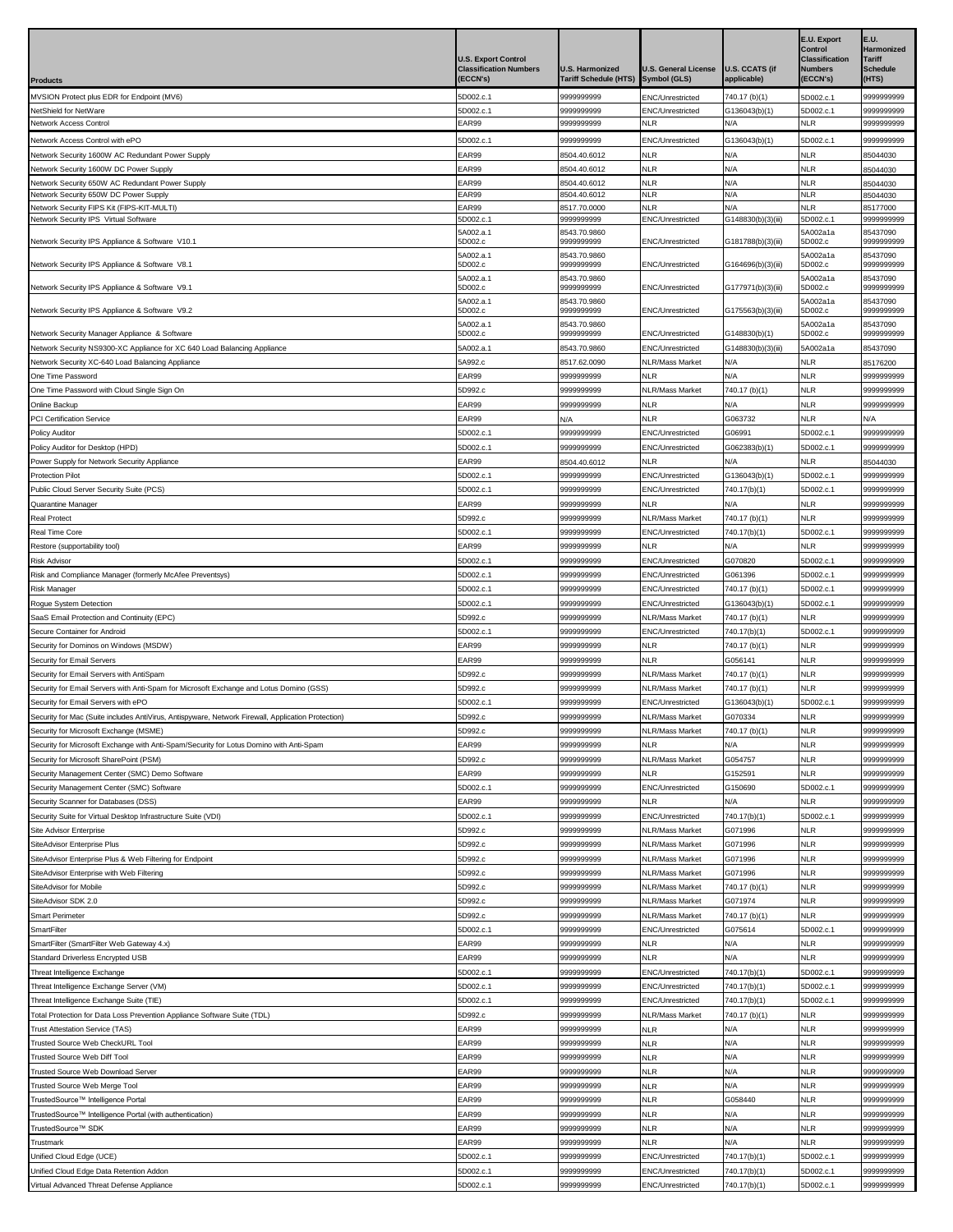|                                                                                                    |                               |                              |                                      |                              | <b>E.U. Export</b>               | E.U.                        |
|----------------------------------------------------------------------------------------------------|-------------------------------|------------------------------|--------------------------------------|------------------------------|----------------------------------|-----------------------------|
|                                                                                                    | <b>U.S. Export Control</b>    |                              |                                      |                              | Control<br><b>Classification</b> | Harmonized<br><b>Tariff</b> |
|                                                                                                    | <b>Classification Numbers</b> | <b>U.S. Harmonized</b>       | <b>U.S. General License</b>          | <b>U.S. CCATS (if</b>        | <b>Numbers</b>                   | <b>Schedule</b>             |
| <b>Products</b>                                                                                    | (ECCN's)                      | <b>Tariff Schedule (HTS)</b> | Symbol (GLS)                         | applicable)                  | (ECCN's)                         | (HTS)                       |
| MVSION Protect plus EDR for Endpoint (MV6)                                                         | 5D002.c.1                     | 9999999999                   | ENC/Unrestricted                     | 740.17 (b)(1)                | 5D002.c.1                        | 999999999                   |
| NetShield for NetWare                                                                              | 5D002.c.1                     | 9999999999                   | <b>ENC/Unrestricted</b>              | G136043(b)(1)                | 5D002.c.1                        | 999999999                   |
| <b>Network Access Control</b>                                                                      | EAR99                         | 9999999999                   | NLR                                  | N/A                          | <b>NLR</b>                       | 9999999999                  |
| Network Access Control with ePO                                                                    | 5D002.c.1                     | 999999999                    | ENC/Unrestricted                     | G136043(b)(1)                | 5D002.c.1                        | 9999999999                  |
| Network Security 1600W AC Redundant Power Supply                                                   | EAR99                         | 8504.40.6012                 | NLR                                  | N/A                          | <b>NLR</b>                       | 85044030                    |
| Network Security 1600W DC Power Supply                                                             | EAR99                         | 8504.40.6012                 | <b>NLR</b>                           | N/A                          | <b>NLR</b>                       | 85044030                    |
| Network Security 650W AC Redundant Power Supply<br>Network Security 650W DC Power Supply           | EAR99<br>EAR99                | 8504.40.6012<br>8504.40.6012 | NLR<br><b>NLR</b>                    | N/A<br>N/A                   | <b>NLR</b><br><b>NLR</b>         | 85044030<br>85044030        |
| Network Security FIPS Kit (FIPS-KIT-MULTI)                                                         | EAR99                         | 8517.70.0000                 | <b>NLR</b>                           | N/A                          | <b>NLR</b>                       | 85177000                    |
| Network Security IPS Virtual Software                                                              | 5D002.c.1                     | 999999999                    | ENC/Unrestricted                     | G148830(b)(3)(iii)           | 5D002.c.1                        | 9999999999                  |
|                                                                                                    | 5A002.a.1                     | 8543.70.9860                 |                                      |                              | 5A002a1a                         | 85437090                    |
| Network Security IPS Appliance & Software V10.1                                                    | 5D002.c                       | 9999999999                   | ENC/Unrestricted                     | G181788(b)(3)(iii)           | 5D002.c                          | 9999999999                  |
| Network Security IPS Appliance & Software V8.1                                                     | 5A002.a.1<br>5D002.c          | 8543.70.9860<br>999999999    | ENC/Unrestricted                     | G164696(b)(3)(iii)           | 5A002a1a<br>5D002.c              | 85437090<br>9999999999      |
|                                                                                                    | 5A002.a.1                     | 8543.70.9860                 |                                      |                              | 5A002a1a                         | 85437090                    |
| Network Security IPS Appliance & Software V9.1                                                     | 5D002.c                       | 9999999999                   | <b>ENC/Unrestricted</b>              | G177971(b)(3)(iii)           | 5D002.c                          | 9999999999                  |
| Network Security IPS Appliance & Software V9.2                                                     | 5A002.a.1<br>5D002.c          | 8543.70.9860<br>999999999    | <b>ENC/Unrestricted</b>              | G175563(b)(3)(iii)           | 5A002a1a<br>5D002.c              | 85437090<br>9999999999      |
|                                                                                                    | 5A002.a.1                     | 8543.70.9860                 |                                      |                              | 5A002a1a                         | 85437090                    |
| Network Security Manager Appliance & Software                                                      | 5D002.c                       | 9999999999                   | ENC/Unrestricted                     | G148830(b)(1)                | 5D002.c                          | 9999999999                  |
| Network Security NS9300-XC Appliance for XC 640 Load Balancing Appliance                           | 5A002.a.1                     | 8543.70.9860                 | <b>ENC/Unrestricted</b>              | G148830(b)(3)(iii)           | 5A002a1a                         | 85437090                    |
| Network Security XC-640 Load Balancing Appliance                                                   | 5A992.c                       | 8517.62.0090                 | NLR/Mass Market                      | N/A                          | <b>NLR</b>                       | 35176200                    |
| One Time Password                                                                                  | EAR99                         | 9999999999                   | <b>NLR</b>                           | N/A                          | <b>NLR</b>                       | 9999999999                  |
| One Time Password with Cloud Single Sign On                                                        | 5D992.c                       | 9999999999                   | <b>NLR/Mass Market</b>               | 740.17 (b)(1)                | <b>NLR</b>                       | 9999999999                  |
| Online Backup<br>PCI Certification Service                                                         | EAR99                         | 9999999999                   | <b>NLR</b><br>NLR                    | N/A<br>G063732               | <b>NLR</b><br><b>NLR</b>         | 9999999999<br>N/A           |
| <b>Policy Auditor</b>                                                                              | EAR99<br>5D002.c.1            | N/A<br>9999999999            | ENC/Unrestricted                     | G06991                       | 5D002.c.1                        | 9999999999                  |
| Policy Auditor for Desktop (HPD)                                                                   | 5D002.c.1                     | 9999999999                   | <b>ENC/Unrestricted</b>              | G062383(b)(1)                | 5D002.c.1                        | 9999999999                  |
| Power Supply for Network Security Appliance                                                        | EAR99                         | 8504.40.6012                 | <b>NLR</b>                           | N/A                          | <b>NLR</b>                       | 35044030                    |
| <b>Protection Pilot</b>                                                                            | 5D002.c.1                     | 9999999999                   | ENC/Unrestricted                     | G136043(b)(1)                | 5D002.c.1                        | 9999999999                  |
| Public Cloud Server Security Suite (PCS)                                                           | 5D002.c.1                     | 999999999                    | ENC/Unrestricted                     | 740.17(b)(1)                 | 5D002.c.1                        | 9999999999                  |
| Quarantine Manager                                                                                 | EAR99                         | 9999999999                   | NLR                                  | N/A                          | <b>NLR</b>                       | 9999999999                  |
| <b>Real Protect</b>                                                                                | 5D992.c                       | 9999999999                   | <b>NLR/Mass Market</b>               | 740.17 (b)(1)                | <b>NLR</b>                       | 9999999999                  |
| Real Time Core                                                                                     | 5D002.c.1                     | 9999999999                   | ENC/Unrestricted                     | 740.17(b)(1)                 | 5D002.c.1                        | 9999999999                  |
| Restore (supportability tool)                                                                      | EAR99                         | 9999999999                   | NLR                                  | N/A                          | <b>NLR</b>                       | 9999999999                  |
| <b>Risk Advisor</b>                                                                                | 5D002.c.1                     | 9999999999                   | ENC/Unrestricted                     | G070820                      | 5D002.c.1                        | 9999999999                  |
| Risk and Compliance Manager (formerly McAfee Preventsys)                                           | 5D002.c.1                     | 999999999                    | ENC/Unrestricted                     | G061396                      | 5D002.c.1                        | 9999999999                  |
| <b>Risk Manager</b>                                                                                | 5D002.c.1                     | 9999999999                   | ENC/Unrestricted                     | 740.17 (b)(1)                | 5D002.c.1                        | 9999999999                  |
| Rogue System Detection                                                                             | 5D002.c.1                     | 999999999                    | ENC/Unrestricted                     | G136043(b)(1)                | 5D002.c.1                        | 9999999999                  |
| SaaS Email Protection and Continuity (EPC)                                                         | 5D992.c                       | 999999999                    | <b>NLR/Mass Market</b>               | 740.17 (b)(1)                | <b>NLR</b>                       | 9999999999                  |
| Secure Container for Android                                                                       | 5D002.c.1                     | 999999999                    | ENC/Unrestricted                     | 740.17(b)(1)                 | 5D002.c.1                        | 999999999                   |
| Security for Dominos on Windows (MSDW)                                                             | EAR99                         | 9999999999                   | <b>NLR</b>                           | 740.17 (b)(1)                | <b>NLR</b>                       | 999999999                   |
| Security for Email Servers                                                                         | EAR99                         | 999999999                    | <b>NLR</b>                           | G056141                      | <b>NLR</b>                       | 9999999999                  |
| Security for Email Servers with AntiSpam                                                           | 5D992.c                       | 9999999999                   | <b>NLR/Mass Market</b>               | 740.17 (b)(1)                | <b>NLR</b>                       | 9999999999                  |
| Security for Email Servers with Anti-Spam for Microsoft Exchange and Lotus Domino (GSS)            | 5D992.c                       | 999999999                    | <b>NLR/Mass Market</b>               | 740.17 (b)(1)                | <b>NLR</b>                       | 999999999                   |
| Security for Email Servers with ePO                                                                | 5D002.c.1                     | 9999999999                   | ENC/Unrestricted                     | G136043(b)(1)                | 5D002.c.1                        | 9999999999                  |
| Security for Mac (Suite includes AntiVirus, Antispyware, Network Firewall, Application Protection) | 5D992.c                       | 999999999                    | NLR/Mass Market                      | G070334                      | <b>NLR</b>                       | 9999999999                  |
| Security for Microsoft Exchange (MSME)                                                             | 5D992.c                       | 9999999999                   | NLR/Mass Market                      | 740.17 (b)(1)                | <b>NLR</b>                       | 9999999999                  |
| Security for Microsoft Exchange with Anti-Spam/Security for Lotus Domino with Anti-Spam            | EAR99                         | 9999999999                   | NLR                                  | N/A                          | <b>NLR</b>                       | 9999999999                  |
| Security for Microsoft SharePoint (PSM)                                                            | 5D992.c                       | 9999999999                   | <b>NLR/Mass Market</b><br><b>NLR</b> | G054757<br>G152591           | <b>NLR</b><br><b>NLR</b>         | 9999999999                  |
| Security Management Center (SMC) Demo Software<br>Security Management Center (SMC) Software        | EAR99<br>5D002.c.1            | 999999999<br>9999999999      | ENC/Unrestricted                     | G150690                      | 5D002.c.1                        | 999999999<br>9999999999     |
| Security Scanner for Databases (DSS)                                                               | EAR99                         | 9999999999                   | <b>NLR</b>                           | <b>N/A</b>                   | <b>NLR</b>                       | 9999999999                  |
| Security Suite for Virtual Desktop Infrastructure Suite (VDI)                                      | 5D002.c.1                     | 999999999                    | ENC/Unrestricted                     | 740.17(b)(1)                 | 5D002.c.1                        | 9999999999                  |
| Site Advisor Enterprise                                                                            | 5D992.c                       | 9999999999                   | <b>NLR/Mass Market</b>               | G071996                      | <b>NLR</b>                       | 9999999999                  |
| SiteAdvisor Enterprise Plus                                                                        | 5D992.c                       | 999999999                    | <b>NLR/Mass Market</b>               | G071996                      | <b>NLR</b>                       | 9999999999                  |
| SiteAdvisor Enterprise Plus & Web Filtering for Endpoint                                           | 5D992.c                       | 9999999999                   | NLR/Mass Market                      | G071996                      | <b>NLR</b>                       | 9999999999                  |
| SiteAdvisor Enterprise with Web Filtering                                                          | 5D992.c                       | 999999999                    | <b>NLR/Mass Market</b>               | G071996                      | <b>NLR</b>                       | 9999999999                  |
| SiteAdvisor for Mobile                                                                             | 5D992.c                       | 9999999999                   | NLR/Mass Market                      | 740.17 (b)(1)                | <b>NLR</b>                       | 9999999999                  |
| SiteAdvisor SDK 2.0                                                                                | 5D992.c                       | 9999999999                   | NLR/Mass Market                      | G071974                      | <b>NLR</b>                       | 9999999999                  |
| <b>Smart Perimeter</b>                                                                             | 5D992.c                       | 9999999999                   | NLR/Mass Market                      | 740.17 (b)(1)                | <b>NLR</b>                       | 9999999999                  |
| SmartFilter                                                                                        | 5D002.c.1                     | 9999999999                   | ENC/Unrestricted                     | G075614                      | 5D002.c.1                        | 9999999999                  |
| SmartFilter (SmartFilter Web Gateway 4.x)                                                          | EAR99                         | 999999999                    | <b>NLR</b>                           | N/A                          | <b>NLR</b>                       | 9999999999                  |
| Standard Driverless Encrypted USB                                                                  | EAR99                         | 9999999999                   | NLR                                  | N/A                          | <b>NLR</b>                       | 9999999999                  |
| Threat Intelligence Exchange                                                                       | 5D002.c.1                     | 9999999999                   | ENC/Unrestricted                     | 740.17(b)(1)                 | 5D002.c.1                        | 9999999999                  |
| Threat Intelligence Exchange Server (VM)                                                           | 5D002.c.1                     | 9999999999                   | ENC/Unrestricted                     | 740.17(b)(1)                 | 5D002.c.1                        | 9999999999                  |
| Threat Intelligence Exchange Suite (TIE)                                                           | 5D002.c.1                     | 9999999999                   | ENC/Unrestricted                     | 740.17(b)(1)                 | 5D002.c.1                        | 9999999999                  |
| Total Protection for Data Loss Prevention Appliance Software Suite (TDL)                           | 5D992.c                       | 999999999                    | NLR/Mass Market                      | 740.17 (b)(1)                | <b>NLR</b>                       | 9999999999                  |
| Trust Attestation Service (TAS)                                                                    | EAR99                         | 9999999999                   | <b>NLR</b>                           | N/A                          | <b>NLR</b>                       | 9999999999                  |
| Trusted Source Web CheckURL Tool                                                                   | EAR99                         | 9999999999                   | <b>NLR</b>                           | N/A                          | <b>NLR</b>                       | 9999999999                  |
| Trusted Source Web Diff Tool                                                                       | EAR99                         | 9999999999                   | <b>NLR</b>                           | N/A                          | <b>NLR</b>                       | 9999999999                  |
| Trusted Source Web Download Server                                                                 | EAR99                         | 9999999999                   | NLR                                  | N/A                          | <b>NLR</b>                       | 9999999999                  |
| Trusted Source Web Merge Tool                                                                      | EAR99                         | 9999999999                   | <b>NLR</b>                           | N/A                          | <b>NLR</b>                       | 9999999999                  |
| TrustedSource™ Intelligence Portal                                                                 | EAR99                         | 9999999999                   | <b>NLR</b>                           | G058440                      | <b>NLR</b>                       | 9999999999                  |
| TrustedSource™ Intelligence Portal (with authentication)                                           | EAR99                         | 9999999999                   | <b>NLR</b>                           | N/A                          | <b>NLR</b>                       | 9999999999                  |
| TrustedSource™ SDK                                                                                 | EAR99                         | 9999999999                   | NLR                                  | N/A                          | <b>NLR</b>                       | 9999999999                  |
| Trustmark                                                                                          | EAR99                         | 999999999                    | <b>NLR</b>                           | N/A                          | <b>NLR</b>                       | 9999999999                  |
| Unified Cloud Edge (UCE)                                                                           | 5D002.c.1<br>5D002.c.1        | 9999999999<br>999999999      | ENC/Unrestricted<br>ENC/Unrestricted | 740.17(b)(1)<br>740.17(b)(1) | 5D002.c.1<br>5D002.c.1           | 9999999999<br>9999999999    |
| Unified Cloud Edge Data Retention Addon<br>Virtual Advanced Threat Defense Appliance               | 5D002.c.1                     | 999999999                    | ENC/Unrestricted                     | 740.17(b)(1)                 | 5D002.c.1                        | 9999999999                  |